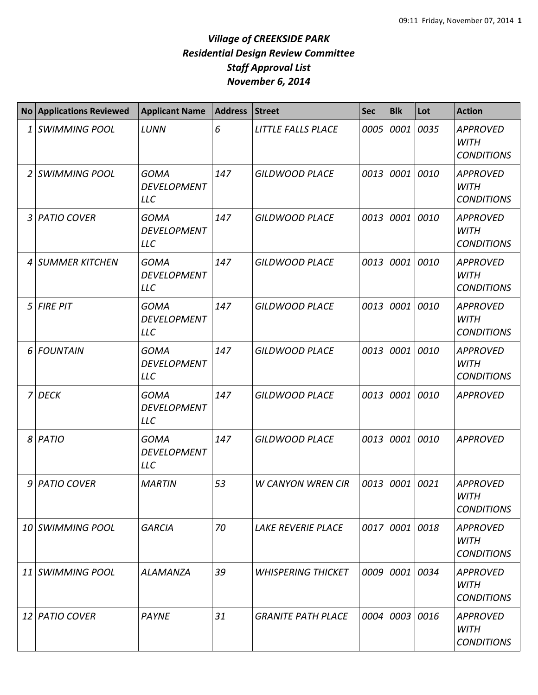|    | <b>No Applications Reviewed</b> | <b>Applicant Name</b>                           | <b>Address</b> | <b>Street</b>             | <b>Sec</b> | <b>Blk</b> | Lot  | <b>Action</b>                                       |
|----|---------------------------------|-------------------------------------------------|----------------|---------------------------|------------|------------|------|-----------------------------------------------------|
| 1  | <b>SWIMMING POOL</b>            | LUNN                                            | 6              | LITTLE FALLS PLACE        | 0005       | 0001       | 0035 | <b>APPROVED</b><br><b>WITH</b><br><b>CONDITIONS</b> |
| 2  | <b>SWIMMING POOL</b>            | <b>GOMA</b><br><b>DEVELOPMENT</b><br><b>LLC</b> | 147            | <b>GILDWOOD PLACE</b>     |            | 0013 0001  | 0010 | <b>APPROVED</b><br><b>WITH</b><br><b>CONDITIONS</b> |
| 3  | <b>PATIO COVER</b>              | <b>GOMA</b><br><b>DEVELOPMENT</b><br><b>LLC</b> | 147            | <b>GILDWOOD PLACE</b>     |            | 0013 0001  | 0010 | <b>APPROVED</b><br><b>WITH</b><br><b>CONDITIONS</b> |
| 4  | <b>SUMMER KITCHEN</b>           | <b>GOMA</b><br><b>DEVELOPMENT</b><br><b>LLC</b> | 147            | <b>GILDWOOD PLACE</b>     | 0013       | 0001       | 0010 | <b>APPROVED</b><br><b>WITH</b><br><b>CONDITIONS</b> |
| 5  | <b>FIRE PIT</b>                 | <b>GOMA</b><br><b>DEVELOPMENT</b><br><b>LLC</b> | 147            | <b>GILDWOOD PLACE</b>     | 0013       | 0001       | 0010 | <b>APPROVED</b><br><b>WITH</b><br><b>CONDITIONS</b> |
| 6  | <b>FOUNTAIN</b>                 | <b>GOMA</b><br><b>DEVELOPMENT</b><br><b>LLC</b> | 147            | <b>GILDWOOD PLACE</b>     | 0013       | 0001       | 0010 | <b>APPROVED</b><br><b>WITH</b><br><b>CONDITIONS</b> |
| 7  | <b>DECK</b>                     | <b>GOMA</b><br><b>DEVELOPMENT</b><br><b>LLC</b> | 147            | <b>GILDWOOD PLACE</b>     | 0013       | 0001       | 0010 | <b>APPROVED</b>                                     |
| 8  | PATIO                           | <b>GOMA</b><br><b>DEVELOPMENT</b><br><b>LLC</b> | 147            | <b>GILDWOOD PLACE</b>     | 0013       | 0001       | 0010 | <b>APPROVED</b>                                     |
| 9  | <b>PATIO COVER</b>              | <b>MARTIN</b>                                   | 53             | <b>W CANYON WREN CIR</b>  | 0013       | 0001       | 0021 | <b>APPROVED</b><br>WITH<br><b>CONDITIONS</b>        |
|    | 10 SWIMMING POOL                | <b>GARCIA</b>                                   | 70             | <b>LAKE REVERIE PLACE</b> |            | 0017 0001  | 0018 | <b>APPROVED</b><br><b>WITH</b><br><b>CONDITIONS</b> |
| 11 | <b>SWIMMING POOL</b>            | <b>ALAMANZA</b>                                 | 39             | <b>WHISPERING THICKET</b> |            | 0009 0001  | 0034 | <b>APPROVED</b><br><b>WITH</b><br><b>CONDITIONS</b> |
| 12 | <b>PATIO COVER</b>              | <b>PAYNE</b>                                    | 31             | <b>GRANITE PATH PLACE</b> |            | 0004 0003  | 0016 | <b>APPROVED</b><br><b>WITH</b><br><b>CONDITIONS</b> |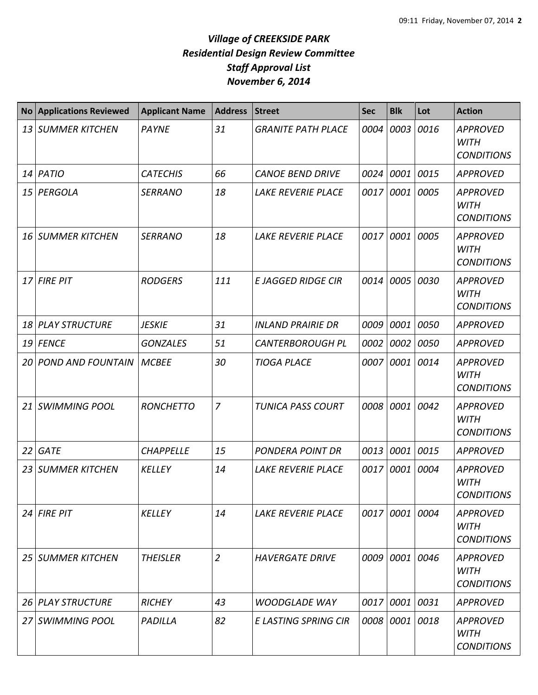| <b>No</b>       | <b>Applications Reviewed</b> | <b>Applicant Name</b> | <b>Address</b> | <b>Street</b>             | <b>Sec</b> | <b>Blk</b> | Lot  | <b>Action</b>                                       |
|-----------------|------------------------------|-----------------------|----------------|---------------------------|------------|------------|------|-----------------------------------------------------|
| 13 <sup>1</sup> | <b>SUMMER KITCHEN</b>        | <b>PAYNE</b>          | 31             | <b>GRANITE PATH PLACE</b> | 0004       | 0003       | 0016 | <b>APPROVED</b><br><b>WITH</b><br><b>CONDITIONS</b> |
| 14              | PATIO                        | <b>CATECHIS</b>       | 66             | <b>CANOE BEND DRIVE</b>   | 0024       | 0001       | 0015 | <b>APPROVED</b>                                     |
| 15              | PERGOLA                      | <b>SERRANO</b>        | 18             | <b>LAKE REVERIE PLACE</b> | 0017       | 0001       | 0005 | <b>APPROVED</b><br><b>WITH</b><br><b>CONDITIONS</b> |
| 16              | <b>SUMMER KITCHEN</b>        | <b>SERRANO</b>        | 18             | LAKE REVERIE PLACE        | 0017       | 0001       | 0005 | <b>APPROVED</b><br><b>WITH</b><br><b>CONDITIONS</b> |
|                 | 17 FIRE PIT                  | <b>RODGERS</b>        | 111            | <b>E JAGGED RIDGE CIR</b> | 0014       | 0005       | 0030 | <b>APPROVED</b><br><b>WITH</b><br><b>CONDITIONS</b> |
| 18              | <b>PLAY STRUCTURE</b>        | <b>JESKIE</b>         | 31             | <b>INLAND PRAIRIE DR</b>  | 0009       | 0001       | 0050 | <b>APPROVED</b>                                     |
| 19 l            | <b>FENCE</b>                 | <b>GONZALES</b>       | 51             | <b>CANTERBOROUGH PL</b>   | 0002       | 0002       | 0050 | <b>APPROVED</b>                                     |
| 20              | <b>POND AND FOUNTAIN</b>     | <b>MCBEE</b>          | 30             | <b>TIOGA PLACE</b>        | 0007       | 0001       | 0014 | <b>APPROVED</b><br><b>WITH</b><br><b>CONDITIONS</b> |
| 21              | <b>SWIMMING POOL</b>         | <b>RONCHETTO</b>      | $\overline{7}$ | <b>TUNICA PASS COURT</b>  | 0008       | 0001       | 0042 | <b>APPROVED</b><br><b>WITH</b><br><b>CONDITIONS</b> |
| 22              | <b>GATE</b>                  | <b>CHAPPELLE</b>      | 15             | <b>PONDERA POINT DR</b>   | 0013       | 0001       | 0015 | <b>APPROVED</b>                                     |
| 23              | <b>SUMMER KITCHEN</b>        | <b>KELLEY</b>         | 14             | LAKE REVERIE PLACE        | 0017       | 0001       | 0004 | <b>APPROVED</b><br><b>WITH</b><br><b>CONDITIONS</b> |
| 24 I            | <b>FIRE PIT</b>              | <b>KELLEY</b>         | 14             | LAKE REVERIE PLACE        |            | 0017 0001  | 0004 | <b>APPROVED</b><br><b>WITH</b><br><b>CONDITIONS</b> |
| 25 I            | <b>SUMMER KITCHEN</b>        | <b>THEISLER</b>       | $\overline{2}$ | <b>HAVERGATE DRIVE</b>    | 0009       | 0001       | 0046 | <b>APPROVED</b><br>WITH<br><b>CONDITIONS</b>        |
| <b>26</b>       | <b>PLAY STRUCTURE</b>        | <b>RICHEY</b>         | 43             | <b>WOODGLADE WAY</b>      | 0017       | 0001       | 0031 | <b>APPROVED</b>                                     |
| 27              | <b>SWIMMING POOL</b>         | PADILLA               | 82             | E LASTING SPRING CIR      | 0008       | 0001       | 0018 | <b>APPROVED</b><br><b>WITH</b><br><b>CONDITIONS</b> |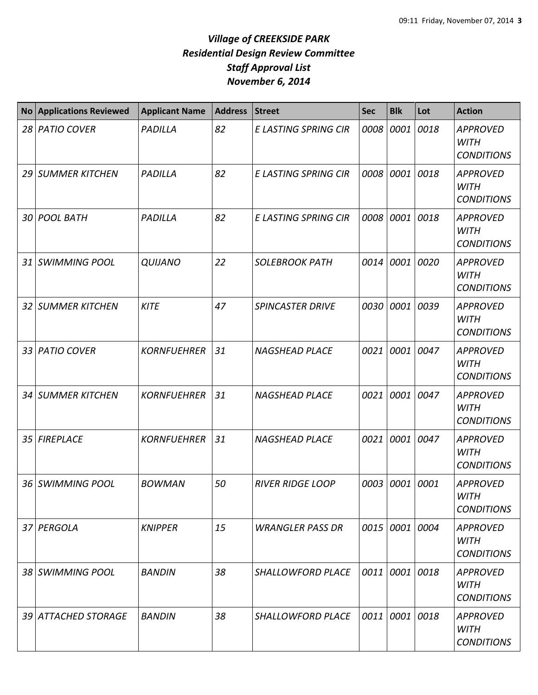| <b>No</b> | <b>Applications Reviewed</b> | <b>Applicant Name</b> | <b>Address</b> | <b>Street</b>               | <b>Sec</b> | <b>Blk</b>     | Lot  | <b>Action</b>                                       |
|-----------|------------------------------|-----------------------|----------------|-----------------------------|------------|----------------|------|-----------------------------------------------------|
| 28        | <b>PATIO COVER</b>           | PADILLA               | 82             | E LASTING SPRING CIR        | 0008       | 0001           | 0018 | <b>APPROVED</b><br><b>WITH</b><br><b>CONDITIONS</b> |
| 29        | <b>SUMMER KITCHEN</b>        | PADILLA               | 82             | E LASTING SPRING CIR        | 0008       | 0001           | 0018 | <b>APPROVED</b><br><b>WITH</b><br><b>CONDITIONS</b> |
| 30        | <b>POOL BATH</b>             | PADILLA               | 82             | <b>E LASTING SPRING CIR</b> | 0008       | 0001           | 0018 | <b>APPROVED</b><br><b>WITH</b><br><b>CONDITIONS</b> |
| 31        | <b>SWIMMING POOL</b>         | <b>QUIJANO</b>        | 22             | <b>SOLEBROOK PATH</b>       | 0014       | 0001           | 0020 | <b>APPROVED</b><br><b>WITH</b><br><b>CONDITIONS</b> |
|           | 32 SUMMER KITCHEN            | <b>KITE</b>           | 47             | <b>SPINCASTER DRIVE</b>     | 0030       | 0001           | 0039 | <b>APPROVED</b><br><b>WITH</b><br><b>CONDITIONS</b> |
| 33        | <b>PATIO COVER</b>           | <b>KORNFUEHRER</b>    | 31             | <b>NAGSHEAD PLACE</b>       | 0021       | 0001           | 0047 | <b>APPROVED</b><br><b>WITH</b><br><b>CONDITIONS</b> |
| 34        | <b>SUMMER KITCHEN</b>        | <b>KORNFUEHRER</b>    | 31             | <b>NAGSHEAD PLACE</b>       | 0021       | 0001           | 0047 | <b>APPROVED</b><br><b>WITH</b><br><b>CONDITIONS</b> |
| 35        | <b>FIREPLACE</b>             | <b>KORNFUEHRER</b>    | 31             | <b>NAGSHEAD PLACE</b>       | 0021       | 0001           | 0047 | <b>APPROVED</b><br><b>WITH</b><br><b>CONDITIONS</b> |
| 36        | <b>SWIMMING POOL</b>         | <b>BOWMAN</b>         | 50             | <b>RIVER RIDGE LOOP</b>     | 0003       | 0001           | 0001 | <b>APPROVED</b><br><b>WITH</b><br><b>CONDITIONS</b> |
|           | 37 PERGOLA                   | <b>KNIPPER</b>        | 15             | <b>WRANGLER PASS DR</b>     |            | 0015 0001 0004 |      | <b>APPROVED</b><br><b>WITH</b><br><b>CONDITIONS</b> |
|           | 38 SWIMMING POOL             | <b>BANDIN</b>         | 38             | <b>SHALLOWFORD PLACE</b>    | 0011       | 0001           | 0018 | <b>APPROVED</b><br><b>WITH</b><br><b>CONDITIONS</b> |
| 39 I      | <b>ATTACHED STORAGE</b>      | <b>BANDIN</b>         | 38             | SHALLOWFORD PLACE           | 0011       | 0001 0018      |      | <b>APPROVED</b><br>WITH<br><b>CONDITIONS</b>        |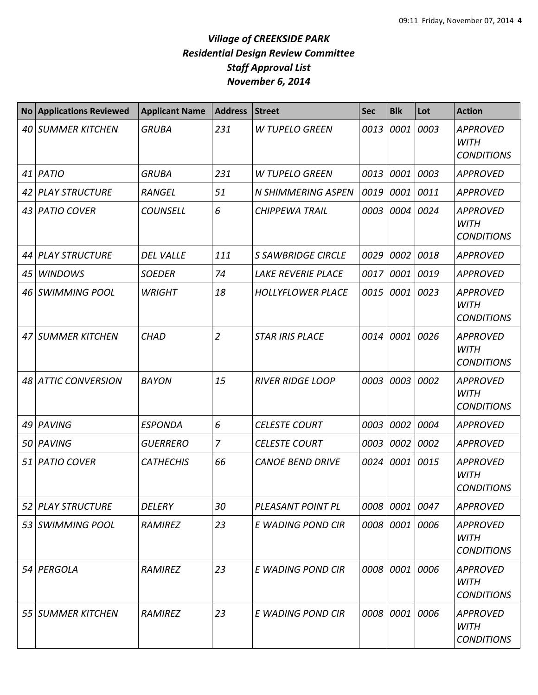| <b>No</b> | <b>Applications Reviewed</b> | <b>Applicant Name</b> | <b>Address</b> | <b>Street</b>             | <b>Sec</b> | <b>Blk</b> | Lot  | <b>Action</b>                                       |
|-----------|------------------------------|-----------------------|----------------|---------------------------|------------|------------|------|-----------------------------------------------------|
|           | 40 SUMMER KITCHEN            | <b>GRUBA</b>          | 231            | <b>W TUPELO GREEN</b>     | 0013       | 0001       | 0003 | <b>APPROVED</b><br><b>WITH</b><br><b>CONDITIONS</b> |
| 41        | PATIO                        | <b>GRUBA</b>          | 231            | <b>W TUPELO GREEN</b>     | 0013       | 0001       | 0003 | <b>APPROVED</b>                                     |
| 42        | <b>PLAY STRUCTURE</b>        | <b>RANGEL</b>         | 51             | <b>N SHIMMERING ASPEN</b> | 0019       | 0001       | 0011 | <b>APPROVED</b>                                     |
| 43        | <b>PATIO COVER</b>           | <b>COUNSELL</b>       | 6              | <b>CHIPPEWA TRAIL</b>     | 0003       | 0004       | 0024 | <b>APPROVED</b><br><b>WITH</b><br><b>CONDITIONS</b> |
| 44        | <b>PLAY STRUCTURE</b>        | <b>DEL VALLE</b>      | 111            | <b>S SAWBRIDGE CIRCLE</b> | 0029       | 0002       | 0018 | <b>APPROVED</b>                                     |
| 45        | <b>WINDOWS</b>               | <b>SOEDER</b>         | 74             | <b>LAKE REVERIE PLACE</b> | 0017       | 0001       | 0019 | <b>APPROVED</b>                                     |
| 46        | <b>SWIMMING POOL</b>         | <b>WRIGHT</b>         | 18             | <b>HOLLYFLOWER PLACE</b>  | 0015       | 0001       | 0023 | <b>APPROVED</b><br><b>WITH</b><br><b>CONDITIONS</b> |
| 47        | <b>SUMMER KITCHEN</b>        | <b>CHAD</b>           | $\overline{2}$ | <b>STAR IRIS PLACE</b>    | 0014       | 0001       | 0026 | <b>APPROVED</b><br><b>WITH</b><br><b>CONDITIONS</b> |
| 48        | <b>ATTIC CONVERSION</b>      | <b>BAYON</b>          | 15             | <b>RIVER RIDGE LOOP</b>   | 0003       | 0003       | 0002 | <b>APPROVED</b><br><b>WITH</b><br><b>CONDITIONS</b> |
| 49        | PAVING                       | <b>ESPONDA</b>        | 6              | <b>CELESTE COURT</b>      | 0003       | 0002       | 0004 | <b>APPROVED</b>                                     |
| 50        | PAVING                       | <b>GUERRERO</b>       | $\overline{z}$ | <b>CELESTE COURT</b>      | 0003       | 0002       | 0002 | <b>APPROVED</b>                                     |
| 51        | <b>PATIO COVER</b>           | <b>CATHECHIS</b>      | 66             | <b>CANOE BEND DRIVE</b>   | 0024       | 0001       | 0015 | <b>APPROVED</b><br><b>WITH</b><br><b>CONDITIONS</b> |
| 52 I      | <b>PLAY STRUCTURE</b>        | DELERY                | 30             | PLEASANT POINT PL         | 0008       | 0001       | 0047 | <b>APPROVED</b>                                     |
|           | 53   SWIMMING POOL           | RAMIREZ               | 23             | E WADING POND CIR         | 0008       | 0001 0006  |      | <b>APPROVED</b><br><b>WITH</b><br><b>CONDITIONS</b> |
|           | 54 PERGOLA                   | RAMIREZ               | 23             | E WADING POND CIR         |            | 0008 0001  | 0006 | <b>APPROVED</b><br>WITH<br><b>CONDITIONS</b>        |
| 55        | <b>SUMMER KITCHEN</b>        | RAMIREZ               | 23             | E WADING POND CIR         | 0008       | 0001       | 0006 | <b>APPROVED</b><br><b>WITH</b><br><b>CONDITIONS</b> |